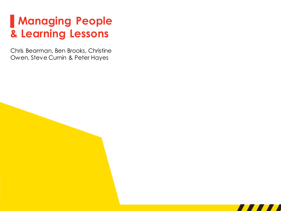### **▌Managing People & Learning Lessons**

Chris Bearman, Ben Brooks, Christine Owen, Steve Curnin & Peter Hayes

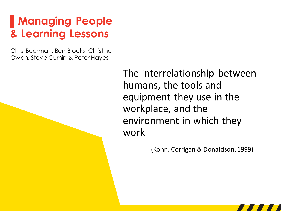### **▌Managing People & Learning Lessons**

Chris Bearman, Ben Brooks, Christine Owen, Steve Curnin & Peter Hayes

> The interrelationship between humans, the tools and equipment they use in the workplace, and the environment in which they work

> > (Kohn, Corrigan & Donaldson, 1999)

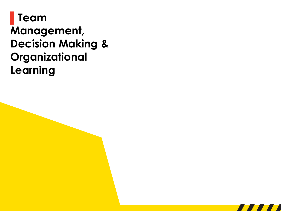#### **▌Team Management, Decision Making & Organizational Learning**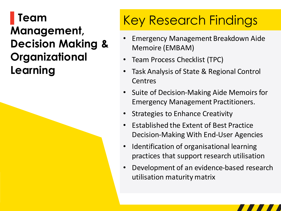### **▌Team Management, Decision Making & Organizational Learning**

# Key Research Findings

- Emergency Management Breakdown Aide Memoire (EMBAM)
- Team Process Checklist (TPC)
- Task Analysis of State & Regional Control Centres
- Suite of Decision-Making Aide Memoirs for Emergency Management Practitioners.
- Strategies to Enhance Creativity
- Established the Extent of Best Practice Decision-Making With End-User Agencies
- Identification of organisational learning practices that support research utilisation
- Development of an evidence-based research utilisation maturity matrix

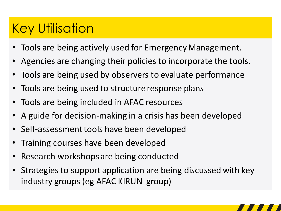## Key Utilisation

- Tools are being actively used for Emergency Management.
- Agencies are changing their policies to incorporate the tools.
- Tools are being used by observers to evaluate performance
- Tools are being used to structure response plans
- Tools are being included in AFAC resources
- A guide for decision-making in a crisis has been developed
- Self-assessment tools have been developed
- Training courses have been developed
- Research workshops are being conducted
- Strategies to support application are being discussed with key industry groups (eg AFAC KIRUN group)